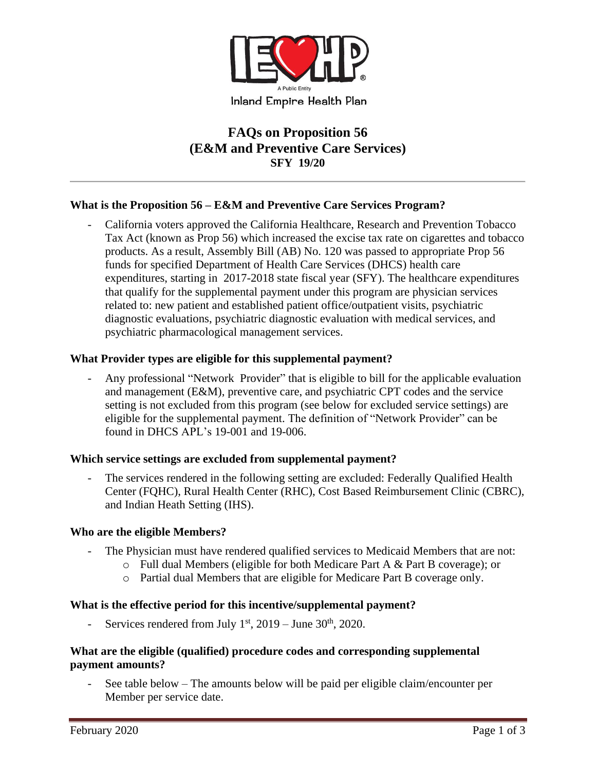

# **FAQs on Proposition 56 (E&M and Preventive Care Services) SFY 19/20**

### **What is the Proposition 56 – E&M and Preventive Care Services Program?**

California voters approved the California Healthcare, Research and Prevention Tobacco Tax Act (known as Prop 56) which increased the excise tax rate on cigarettes and tobacco products. As a result, Assembly Bill (AB) No. 120 was passed to appropriate Prop 56 funds for specified Department of Health Care Services (DHCS) health care expenditures, starting in 2017-2018 state fiscal year (SFY). The healthcare expenditures that qualify for the supplemental payment under this program are physician services related to: new patient and established patient office/outpatient visits, psychiatric diagnostic evaluations, psychiatric diagnostic evaluation with medical services, and psychiatric pharmacological management services.

#### **What Provider types are eligible for this supplemental payment?**

Any professional "Network Provider" that is eligible to bill for the applicable evaluation and management (E&M), preventive care, and psychiatric CPT codes and the service setting is not excluded from this program (see below for excluded service settings) are eligible for the supplemental payment. The definition of "Network Provider" can be found in DHCS APL's 19-001 and 19-006.

#### **Which service settings are excluded from supplemental payment?**

The services rendered in the following setting are excluded: Federally Qualified Health Center (FQHC), Rural Health Center (RHC), Cost Based Reimbursement Clinic (CBRC), and Indian Heath Setting (IHS).

#### **Who are the eligible Members?**

- The Physician must have rendered qualified services to Medicaid Members that are not:
	- o Full dual Members (eligible for both Medicare Part A & Part B coverage); or
	- o Partial dual Members that are eligible for Medicare Part B coverage only.

#### **What is the effective period for this incentive/supplemental payment?**

- Services rendered from July  $1<sup>st</sup>$ , 2019 – June 30<sup>th</sup>, 2020.

#### **What are the eligible (qualified) procedure codes and corresponding supplemental payment amounts?**

See table below – The amounts below will be paid per eligible claim/encounter per Member per service date.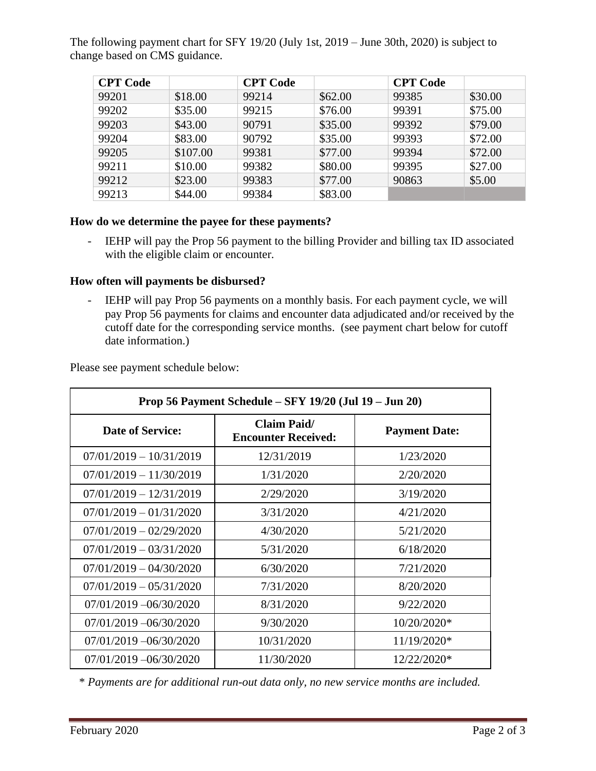The following payment chart for SFY 19/20 (July 1st, 2019 – June 30th, 2020) is subject to change based on CMS guidance.

| <b>CPT</b> Code |          | <b>CPT</b> Code |         | <b>CPT</b> Code |         |
|-----------------|----------|-----------------|---------|-----------------|---------|
| 99201           | \$18.00  | 99214           | \$62.00 | 99385           | \$30.00 |
| 99202           | \$35.00  | 99215           | \$76.00 | 99391           | \$75.00 |
| 99203           | \$43.00  | 90791           | \$35.00 | 99392           | \$79.00 |
| 99204           | \$83.00  | 90792           | \$35.00 | 99393           | \$72.00 |
| 99205           | \$107.00 | 99381           | \$77.00 | 99394           | \$72.00 |
| 99211           | \$10.00  | 99382           | \$80.00 | 99395           | \$27.00 |
| 99212           | \$23.00  | 99383           | \$77.00 | 90863           | \$5.00  |
| 99213           | \$44.00  | 99384           | \$83.00 |                 |         |

### **How do we determine the payee for these payments?**

- IEHP will pay the Prop 56 payment to the billing Provider and billing tax ID associated with the eligible claim or encounter.

### **How often will payments be disbursed?**

- IEHP will pay Prop 56 payments on a monthly basis. For each payment cycle, we will pay Prop 56 payments for claims and encounter data adjudicated and/or received by the cutoff date for the corresponding service months. (see payment chart below for cutoff date information.)

Please see payment schedule below:

| Prop 56 Payment Schedule – SFY 19/20 (Jul 19 – Jun 20) |                                                  |                      |  |  |  |
|--------------------------------------------------------|--------------------------------------------------|----------------------|--|--|--|
| <b>Date of Service:</b>                                | <b>Claim Paid/</b><br><b>Encounter Received:</b> | <b>Payment Date:</b> |  |  |  |
| $07/01/2019 - 10/31/2019$                              | 12/31/2019                                       | 1/23/2020            |  |  |  |
| $07/01/2019 - 11/30/2019$                              | 1/31/2020                                        | 2/20/2020            |  |  |  |
| $07/01/2019 - 12/31/2019$                              | 2/29/2020                                        | 3/19/2020            |  |  |  |
| $07/01/2019 - 01/31/2020$                              | 3/31/2020                                        | 4/21/2020            |  |  |  |
| $07/01/2019 - 02/29/2020$                              | 4/30/2020                                        | 5/21/2020            |  |  |  |
| $07/01/2019 - 03/31/2020$                              | 5/31/2020                                        | 6/18/2020            |  |  |  |
| $07/01/2019 - 04/30/2020$                              | 6/30/2020                                        | 7/21/2020            |  |  |  |
| $07/01/2019 - 05/31/2020$                              | 7/31/2020                                        | 8/20/2020            |  |  |  |
| $07/01/2019 - 06/30/2020$                              | 8/31/2020                                        | 9/22/2020            |  |  |  |
| $07/01/2019 - 06/30/2020$                              | 9/30/2020                                        | 10/20/2020*          |  |  |  |
| $07/01/2019 - 06/30/2020$                              | 10/31/2020                                       | $11/19/2020*$        |  |  |  |
| $07/01/2019 - 06/30/2020$                              | 11/30/2020                                       | 12/22/2020*          |  |  |  |

\* *Payments are for additional run-out data only, no new service months are included.*